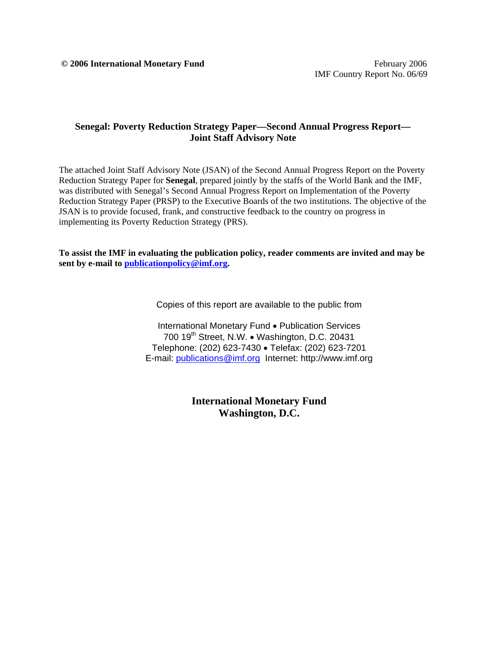# **Senegal: Poverty Reduction Strategy Paper—Second Annual Progress Report— Joint Staff Advisory Note**

The attached Joint Staff Advisory Note (JSAN) of the Second Annual Progress Report on the Poverty Reduction Strategy Paper for **Senegal**, prepared jointly by the staffs of the World Bank and the IMF, was distributed with Senegal's Second Annual Progress Report on Implementation of the Poverty Reduction Strategy Paper (PRSP) to the Executive Boards of the two institutions. The objective of the JSAN is to provide focused, frank, and constructive feedback to the country on progress in implementing its Poverty Reduction Strategy (PRS).

**To assist the IMF in evaluating the publication policy, reader comments are invited and may be sent by e-mail to publicationpolicy@imf.org.** 

Copies of this report are available to the public from

International Monetary Fund • Publication Services 700 19<sup>th</sup> Street, N.W. • Washington, D.C. 20431 Telephone: (202) 623-7430 • Telefax: (202) 623-7201 E-mail: publications@imf.org Internet: http://www.imf.org

> **International Monetary Fund Washington, D.C.**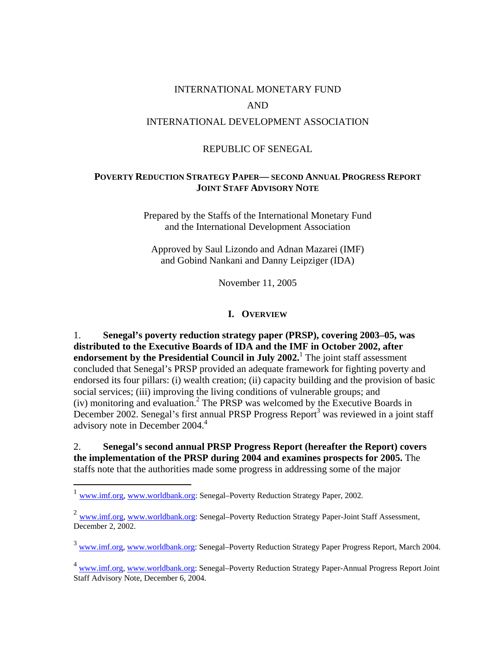# INTERNATIONAL MONETARY FUND AND INTERNATIONAL DEVELOPMENT ASSOCIATION

# REPUBLIC OF SENEGAL

# **POVERTY REDUCTION STRATEGY PAPER— SECOND ANNUAL PROGRESS REPORT JOINT STAFF ADVISORY NOTE**

Prepared by the Staffs of the International Monetary Fund and the International Development Association

Approved by Saul Lizondo and Adnan Mazarei (IMF) and Gobind Nankani and Danny Leipziger (IDA)

November 11, 2005

#### **I. OVERVIEW**

1. **Senegal's poverty reduction strategy paper (PRSP), covering 2003–05, was distributed to the Executive Boards of IDA and the IMF in October 2002, after endorsement by the Presidential Council in July 2002.** The joint staff assessment concluded that Senegal's PRSP provided an adequate framework for fighting poverty and endorsed its four pillars: (i) wealth creation; (ii) capacity building and the provision of basic social services; (iii) improving the living conditions of vulnerable groups; and (iv) monitoring and evaluation.2 The PRSP was welcomed by the Executive Boards in December 2002. Senegal's first annual PRSP Progress Report<sup>3</sup> was reviewed in a joint staff advisory note in December 2004.<sup>4</sup>

2. **Senegal's second annual PRSP Progress Report (hereafter the Report) covers the implementation of the PRSP during 2004 and examines prospects for 2005.** The staffs note that the authorities made some progress in addressing some of the major

 $\overline{a}$ 

<sup>1</sup> www.imf.org, www.worldbank.org: Senegal–Poverty Reduction Strategy Paper, 2002.

 $^{2}$  www.imf.org, www.worldbank.org: Senegal–Poverty Reduction Strategy Paper-Joint Staff Assessment, December 2, 2002.

<sup>3</sup> www.imf.org, www.worldbank.org: Senegal–Poverty Reduction Strategy Paper Progress Report, March 2004.

<sup>4</sup> www.imf.org, www.worldbank.org: Senegal–Poverty Reduction Strategy Paper-Annual Progress Report Joint Staff Advisory Note, December 6, 2004.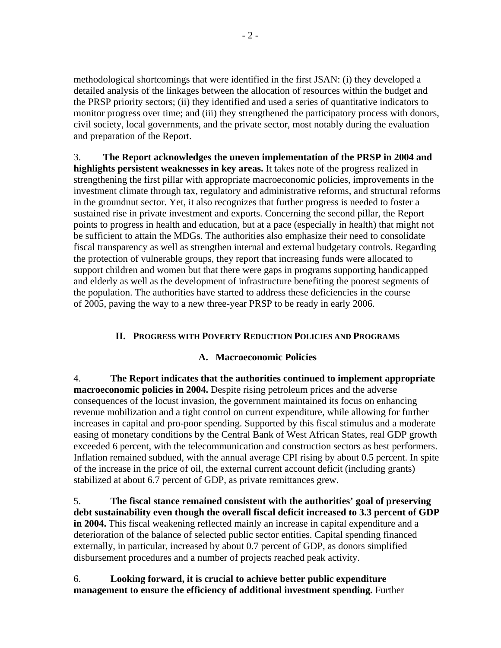methodological shortcomings that were identified in the first JSAN: (i) they developed a detailed analysis of the linkages between the allocation of resources within the budget and the PRSP priority sectors; (ii) they identified and used a series of quantitative indicators to monitor progress over time; and (iii) they strengthened the participatory process with donors, civil society, local governments, and the private sector, most notably during the evaluation and preparation of the Report.

3. **The Report acknowledges the uneven implementation of the PRSP in 2004 and highlights persistent weaknesses in key areas.** It takes note of the progress realized in strengthening the first pillar with appropriate macroeconomic policies, improvements in the investment climate through tax, regulatory and administrative reforms, and structural reforms in the groundnut sector. Yet, it also recognizes that further progress is needed to foster a sustained rise in private investment and exports. Concerning the second pillar, the Report points to progress in health and education, but at a pace (especially in health) that might not be sufficient to attain the MDGs. The authorities also emphasize their need to consolidate fiscal transparency as well as strengthen internal and external budgetary controls. Regarding the protection of vulnerable groups, they report that increasing funds were allocated to support children and women but that there were gaps in programs supporting handicapped and elderly as well as the development of infrastructure benefiting the poorest segments of the population. The authorities have started to address these deficiencies in the course of 2005, paving the way to a new three-year PRSP to be ready in early 2006.

# **II. PROGRESS WITH POVERTY REDUCTION POLICIES AND PROGRAMS**

#### **A. Macroeconomic Policies**

4. **The Report indicates that the authorities continued to implement appropriate macroeconomic policies in 2004.** Despite rising petroleum prices and the adverse consequences of the locust invasion, the government maintained its focus on enhancing revenue mobilization and a tight control on current expenditure, while allowing for further increases in capital and pro-poor spending. Supported by this fiscal stimulus and a moderate easing of monetary conditions by the Central Bank of West African States, real GDP growth exceeded 6 percent, with the telecommunication and construction sectors as best performers. Inflation remained subdued, with the annual average CPI rising by about 0.5 percent. In spite of the increase in the price of oil, the external current account deficit (including grants) stabilized at about 6.7 percent of GDP, as private remittances grew.

5. **The fiscal stance remained consistent with the authorities' goal of preserving debt sustainability even though the overall fiscal deficit increased to 3.3 percent of GDP in 2004.** This fiscal weakening reflected mainly an increase in capital expenditure and a deterioration of the balance of selected public sector entities. Capital spending financed externally, in particular, increased by about 0.7 percent of GDP, as donors simplified disbursement procedures and a number of projects reached peak activity.

6. **Looking forward, it is crucial to achieve better public expenditure management to ensure the efficiency of additional investment spending.** Further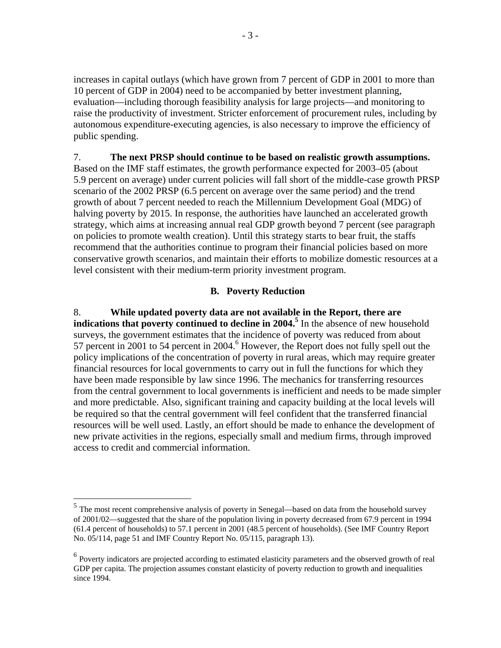increases in capital outlays (which have grown from 7 percent of GDP in 2001 to more than 10 percent of GDP in 2004) need to be accompanied by better investment planning, evaluation—including thorough feasibility analysis for large projects—and monitoring to raise the productivity of investment. Stricter enforcement of procurement rules, including by autonomous expenditure-executing agencies, is also necessary to improve the efficiency of public spending.

# 7. **The next PRSP should continue to be based on realistic growth assumptions.**  Based on the IMF staff estimates, the growth performance expected for 2003–05 (about 5.9 percent on average) under current policies will fall short of the middle-case growth PRSP scenario of the 2002 PRSP (6.5 percent on average over the same period) and the trend growth of about 7 percent needed to reach the Millennium Development Goal (MDG) of halving poverty by 2015. In response, the authorities have launched an accelerated growth strategy, which aims at increasing annual real GDP growth beyond 7 percent (see paragraph on policies to promote wealth creation). Until this strategy starts to bear fruit, the staffs recommend that the authorities continue to program their financial policies based on more conservative growth scenarios, and maintain their efforts to mobilize domestic resources at a level consistent with their medium-term priority investment program.

# **B. Poverty Reduction**

8. **While updated poverty data are not available in the Report, there are indications that poverty continued to decline in 2004.**<sup>5</sup> In the absence of new household surveys, the government estimates that the incidence of poverty was reduced from about 57 percent in 2001 to 54 percent in 2004.<sup>6</sup> However, the Report does not fully spell out the policy implications of the concentration of poverty in rural areas, which may require greater financial resources for local governments to carry out in full the functions for which they have been made responsible by law since 1996. The mechanics for transferring resources from the central government to local governments is inefficient and needs to be made simpler and more predictable. Also, significant training and capacity building at the local levels will be required so that the central government will feel confident that the transferred financial resources will be well used. Lastly, an effort should be made to enhance the development of new private activities in the regions, especially small and medium firms, through improved access to credit and commercial information.

-

<sup>&</sup>lt;sup>5</sup> The most recent comprehensive analysis of poverty in Senegal—based on data from the household survey of 2001/02—suggested that the share of the population living in poverty decreased from 67.9 percent in 1994 (61.4 percent of households) to 57.1 percent in 2001 (48.5 percent of households). (See IMF Country Report No. 05/114, page 51 and IMF Country Report No. 05/115, paragraph 13).

<sup>&</sup>lt;sup>6</sup> Poverty indicators are projected according to estimated elasticity parameters and the observed growth of real GDP per capita. The projection assumes constant elasticity of poverty reduction to growth and inequalities since 1994.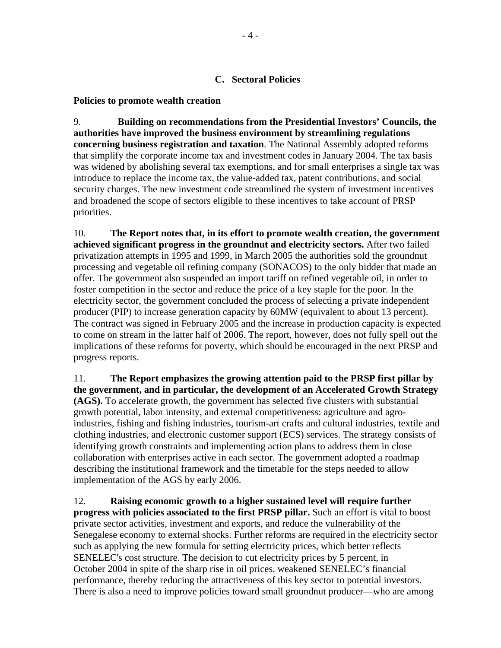## **C. Sectoral Policies**

#### **Policies to promote wealth creation**

9. **Building on recommendations from the Presidential Investors' Councils, the authorities have improved the business environment by streamlining regulations concerning business registration and taxation**. The National Assembly adopted reforms that simplify the corporate income tax and investment codes in January 2004. The tax basis was widened by abolishing several tax exemptions, and for small enterprises a single tax was introduce to replace the income tax, the value-added tax, patent contributions, and social security charges. The new investment code streamlined the system of investment incentives and broadened the scope of sectors eligible to these incentives to take account of PRSP priorities.

10. **The Report notes that, in its effort to promote wealth creation, the government achieved significant progress in the groundnut and electricity sectors.** After two failed privatization attempts in 1995 and 1999, in March 2005 the authorities sold the groundnut processing and vegetable oil refining company (SONACOS) to the only bidder that made an offer. The government also suspended an import tariff on refined vegetable oil, in order to foster competition in the sector and reduce the price of a key staple for the poor. In the electricity sector, the government concluded the process of selecting a private independent producer (PIP) to increase generation capacity by 60MW (equivalent to about 13 percent). The contract was signed in February 2005 and the increase in production capacity is expected to come on stream in the latter half of 2006. The report, however, does not fully spell out the implications of these reforms for poverty, which should be encouraged in the next PRSP and progress reports.

11. **The Report emphasizes the growing attention paid to the PRSP first pillar by the government, and in particular, the development of an Accelerated Growth Strategy (AGS).** To accelerate growth, the government has selected five clusters with substantial growth potential, labor intensity, and external competitiveness: agriculture and agroindustries, fishing and fishing industries, tourism-art crafts and cultural industries, textile and clothing industries, and electronic customer support (ECS) services. The strategy consists of identifying growth constraints and implementing action plans to address them in close collaboration with enterprises active in each sector. The government adopted a roadmap describing the institutional framework and the timetable for the steps needed to allow implementation of the AGS by early 2006.

12. **Raising economic growth to a higher sustained level will require further progress with policies associated to the first PRSP pillar.** Such an effort is vital to boost private sector activities, investment and exports, and reduce the vulnerability of the Senegalese economy to external shocks. Further reforms are required in the electricity sector such as applying the new formula for setting electricity prices, which better reflects SENELEC's cost structure. The decision to cut electricity prices by 5 percent, in October 2004 in spite of the sharp rise in oil prices, weakened SENELEC's financial performance, thereby reducing the attractiveness of this key sector to potential investors. There is also a need to improve policies toward small groundnut producer—who are among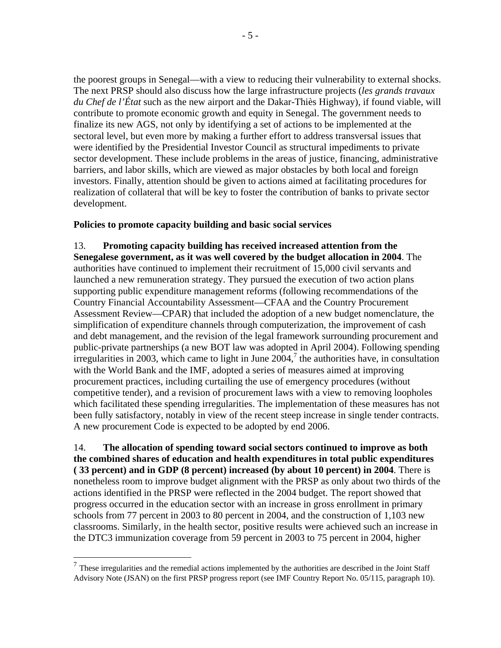the poorest groups in Senegal—with a view to reducing their vulnerability to external shocks. The next PRSP should also discuss how the large infrastructure projects (*les grands travaux du Chef de l'État* such as the new airport and the Dakar-Thiès Highway), if found viable, will contribute to promote economic growth and equity in Senegal. The government needs to finalize its new AGS, not only by identifying a set of actions to be implemented at the sectoral level, but even more by making a further effort to address transversal issues that were identified by the Presidential Investor Council as structural impediments to private sector development. These include problems in the areas of justice, financing, administrative barriers, and labor skills, which are viewed as major obstacles by both local and foreign investors. Finally, attention should be given to actions aimed at facilitating procedures for realization of collateral that will be key to foster the contribution of banks to private sector development.

# **Policies to promote capacity building and basic social services**

13. **Promoting capacity building has received increased attention from the Senegalese government, as it was well covered by the budget allocation in 2004**. The authorities have continued to implement their recruitment of 15,000 civil servants and launched a new remuneration strategy. They pursued the execution of two action plans supporting public expenditure management reforms (following recommendations of the Country Financial Accountability Assessment—CFAA and the Country Procurement Assessment Review—CPAR) that included the adoption of a new budget nomenclature, the simplification of expenditure channels through computerization, the improvement of cash and debt management, and the revision of the legal framework surrounding procurement and public-private partnerships (a new BOT law was adopted in April 2004). Following spending irregularities in 2003, which came to light in June  $2004$ ,<sup>7</sup> the authorities have, in consultation with the World Bank and the IMF, adopted a series of measures aimed at improving procurement practices, including curtailing the use of emergency procedures (without competitive tender), and a revision of procurement laws with a view to removing loopholes which facilitated these spending irregularities. The implementation of these measures has not been fully satisfactory, notably in view of the recent steep increase in single tender contracts. A new procurement Code is expected to be adopted by end 2006.

14. **The allocation of spending toward social sectors continued to improve as both the combined shares of education and health expenditures in total public expenditures ( 33 percent) and in GDP (8 percent) increased (by about 10 percent) in 2004**. There is nonetheless room to improve budget alignment with the PRSP as only about two thirds of the actions identified in the PRSP were reflected in the 2004 budget. The report showed that progress occurred in the education sector with an increase in gross enrollment in primary schools from 77 percent in 2003 to 80 percent in 2004, and the construction of 1,103 new classrooms. Similarly, in the health sector, positive results were achieved such an increase in the DTC3 immunization coverage from 59 percent in 2003 to 75 percent in 2004, higher

 $\overline{a}$ 

 $<sup>7</sup>$  These irregularities and the remedial actions implemented by the authorities are described in the Joint Staff</sup> Advisory Note (JSAN) on the first PRSP progress report (see IMF Country Report No. 05/115, paragraph 10).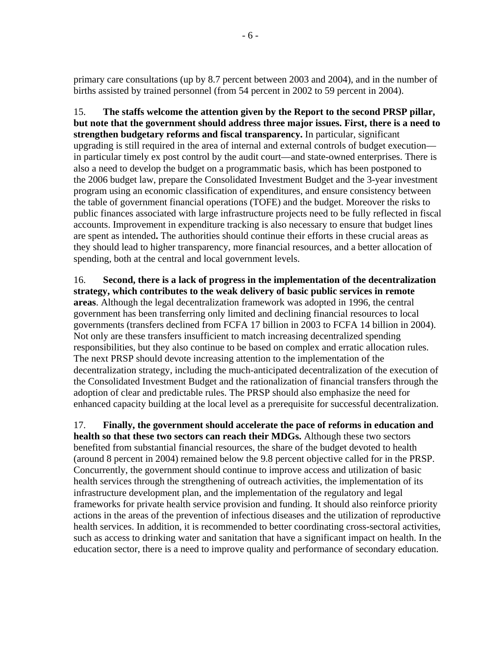primary care consultations (up by 8.7 percent between 2003 and 2004), and in the number of births assisted by trained personnel (from 54 percent in 2002 to 59 percent in 2004).

15. **The staffs welcome the attention given by the Report to the second PRSP pillar, but note that the government should address three major issues. First, there is a need to strengthen budgetary reforms and fiscal transparency.** In particular, significant upgrading is still required in the area of internal and external controls of budget execution in particular timely ex post control by the audit court—and state-owned enterprises. There is also a need to develop the budget on a programmatic basis, which has been postponed to the 2006 budget law, prepare the Consolidated Investment Budget and the 3-year investment program using an economic classification of expenditures, and ensure consistency between the table of government financial operations (TOFE) and the budget. Moreover the risks to public finances associated with large infrastructure projects need to be fully reflected in fiscal accounts. Improvement in expenditure tracking is also necessary to ensure that budget lines are spent as intended**.** The authorities should continue their efforts in these crucial areas as they should lead to higher transparency, more financial resources, and a better allocation of spending, both at the central and local government levels.

16. **Second, there is a lack of progress in the implementation of the decentralization strategy, which contributes to the weak delivery of basic public services in remote areas**. Although the legal decentralization framework was adopted in 1996, the central government has been transferring only limited and declining financial resources to local governments (transfers declined from FCFA 17 billion in 2003 to FCFA 14 billion in 2004). Not only are these transfers insufficient to match increasing decentralized spending responsibilities, but they also continue to be based on complex and erratic allocation rules. The next PRSP should devote increasing attention to the implementation of the decentralization strategy, including the much-anticipated decentralization of the execution of the Consolidated Investment Budget and the rationalization of financial transfers through the adoption of clear and predictable rules. The PRSP should also emphasize the need for enhanced capacity building at the local level as a prerequisite for successful decentralization.

17. **Finally, the government should accelerate the pace of reforms in education and health so that these two sectors can reach their MDGs.** Although these two sectors benefited from substantial financial resources, the share of the budget devoted to health (around 8 percent in 2004) remained below the 9.8 percent objective called for in the PRSP. Concurrently, the government should continue to improve access and utilization of basic health services through the strengthening of outreach activities, the implementation of its infrastructure development plan, and the implementation of the regulatory and legal frameworks for private health service provision and funding. It should also reinforce priority actions in the areas of the prevention of infectious diseases and the utilization of reproductive health services. In addition, it is recommended to better coordinating cross-sectoral activities, such as access to drinking water and sanitation that have a significant impact on health. In the education sector, there is a need to improve quality and performance of secondary education.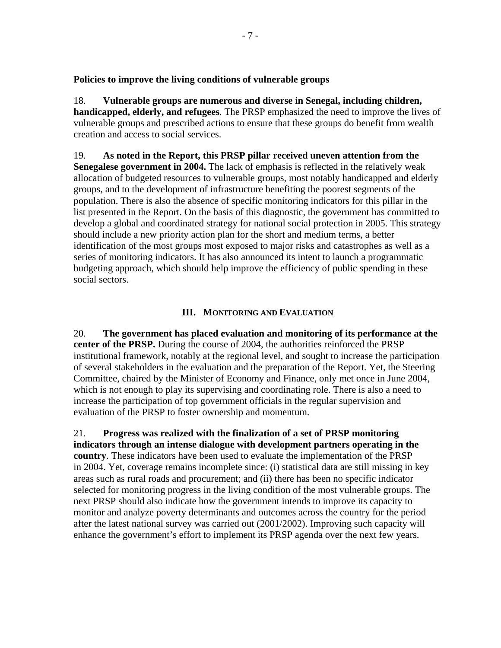**Policies to improve the living conditions of vulnerable groups** 

18. **Vulnerable groups are numerous and diverse in Senegal, including children, handicapped, elderly, and refugees**. The PRSP emphasized the need to improve the lives of vulnerable groups and prescribed actions to ensure that these groups do benefit from wealth creation and access to social services.

19. **As noted in the Report, this PRSP pillar received uneven attention from the Senegalese government in 2004.** The lack of emphasis is reflected in the relatively weak allocation of budgeted resources to vulnerable groups, most notably handicapped and elderly groups, and to the development of infrastructure benefiting the poorest segments of the population. There is also the absence of specific monitoring indicators for this pillar in the list presented in the Report. On the basis of this diagnostic, the government has committed to develop a global and coordinated strategy for national social protection in 2005. This strategy should include a new priority action plan for the short and medium terms, a better identification of the most groups most exposed to major risks and catastrophes as well as a series of monitoring indicators. It has also announced its intent to launch a programmatic budgeting approach, which should help improve the efficiency of public spending in these social sectors.

# **III. MONITORING AND EVALUATION**

20. **The government has placed evaluation and monitoring of its performance at the center of the PRSP.** During the course of 2004, the authorities reinforced the PRSP institutional framework, notably at the regional level, and sought to increase the participation of several stakeholders in the evaluation and the preparation of the Report. Yet, the Steering Committee, chaired by the Minister of Economy and Finance, only met once in June 2004, which is not enough to play its supervising and coordinating role. There is also a need to increase the participation of top government officials in the regular supervision and evaluation of the PRSP to foster ownership and momentum.

21. **Progress was realized with the finalization of a set of PRSP monitoring indicators through an intense dialogue with development partners operating in the country**. These indicators have been used to evaluate the implementation of the PRSP in 2004. Yet, coverage remains incomplete since: (i) statistical data are still missing in key areas such as rural roads and procurement; and (ii) there has been no specific indicator selected for monitoring progress in the living condition of the most vulnerable groups. The next PRSP should also indicate how the government intends to improve its capacity to monitor and analyze poverty determinants and outcomes across the country for the period after the latest national survey was carried out (2001/2002). Improving such capacity will enhance the government's effort to implement its PRSP agenda over the next few years.